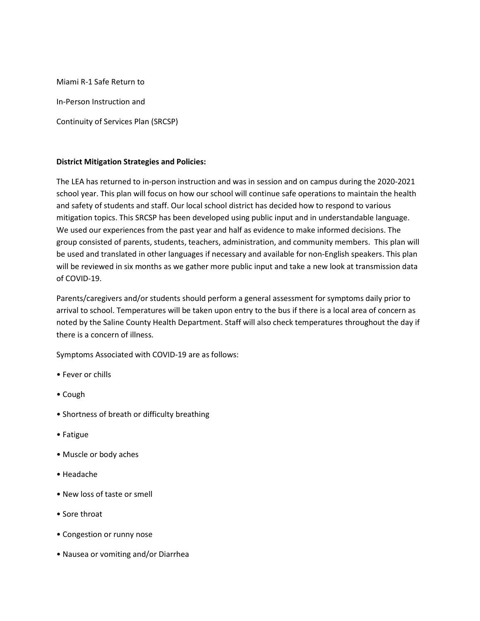Miami R-1 Safe Return to In-Person Instruction and Continuity of Services Plan (SRCSP)

### District Mitigation Strategies and Policies:

The LEA has returned to in-person instruction and was in session and on campus during the 2020-2021 school year. This plan will focus on how our school will continue safe operations to maintain the health and safety of students and staff. Our local school district has decided how to respond to various mitigation topics. This SRCSP has been developed using public input and in understandable language. We used our experiences from the past year and half as evidence to make informed decisions. The group consisted of parents, students, teachers, administration, and community members. This plan will be used and translated in other languages if necessary and available for non-English speakers. This plan will be reviewed in six months as we gather more public input and take a new look at transmission data of COVID-19.

Parents/caregivers and/or students should perform a general assessment for symptoms daily prior to arrival to school. Temperatures will be taken upon entry to the bus if there is a local area of concern as noted by the Saline County Health Department. Staff will also check temperatures throughout the day if there is a concern of illness.

Symptoms Associated with COVID-19 are as follows:

- Fever or chills
- Cough
- Shortness of breath or difficulty breathing
- Fatigue
- Muscle or body aches
- Headache
- New loss of taste or smell
- Sore throat
- Congestion or runny nose
- Nausea or vomiting and/or Diarrhea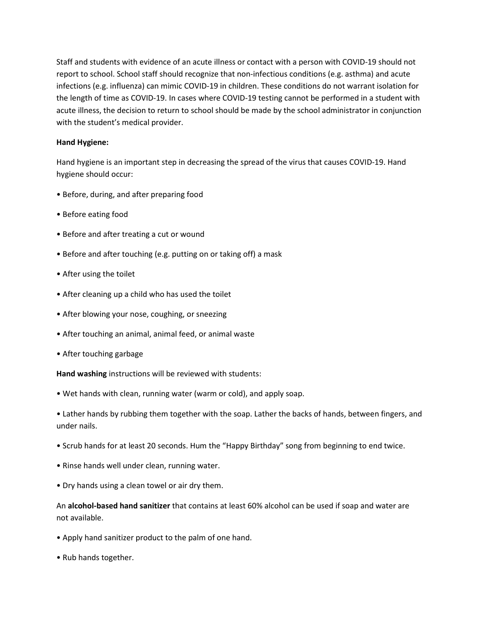Staff and students with evidence of an acute illness or contact with a person with COVID-19 should not report to school. School staff should recognize that non-infectious conditions (e.g. asthma) and acute infections (e.g. influenza) can mimic COVID-19 in children. These conditions do not warrant isolation for the length of time as COVID-19. In cases where COVID-19 testing cannot be performed in a student with acute illness, the decision to return to school should be made by the school administrator in conjunction with the student's medical provider.

#### Hand Hygiene:

Hand hygiene is an important step in decreasing the spread of the virus that causes COVID-19. Hand hygiene should occur:

- Before, during, and after preparing food
- Before eating food
- Before and after treating a cut or wound
- Before and after touching (e.g. putting on or taking off) a mask
- After using the toilet
- After cleaning up a child who has used the toilet
- After blowing your nose, coughing, or sneezing
- After touching an animal, animal feed, or animal waste
- After touching garbage

Hand washing instructions will be reviewed with students:

• Wet hands with clean, running water (warm or cold), and apply soap.

• Lather hands by rubbing them together with the soap. Lather the backs of hands, between fingers, and under nails.

- Scrub hands for at least 20 seconds. Hum the "Happy Birthday" song from beginning to end twice.
- Rinse hands well under clean, running water.
- Dry hands using a clean towel or air dry them.

An alcohol-based hand sanitizer that contains at least 60% alcohol can be used if soap and water are not available.

- Apply hand sanitizer product to the palm of one hand.
- Rub hands together.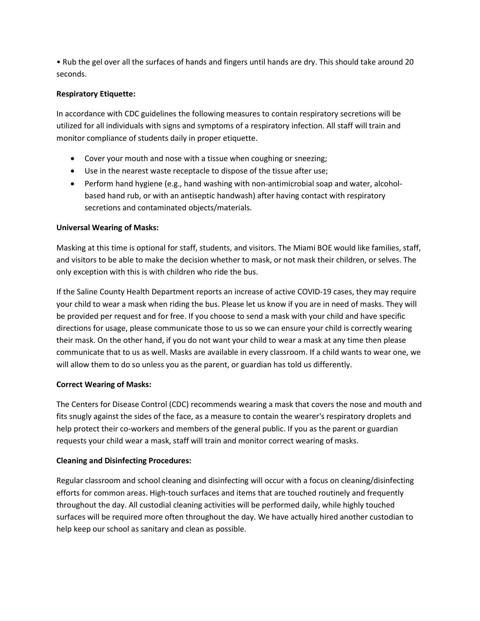• Rub the gel over all the surfaces of hands and fingers until hands are dry. This should take around 20 seconds.

## Respiratory Etiquette:

In accordance with CDC guidelines the following measures to contain respiratory secretions will be utilized for all individuals with signs and symptoms of a respiratory infection. All staff will train and monitor compliance of students daily in proper etiquette.

- Cover your mouth and nose with a tissue when coughing or sneezing;
- Use in the nearest waste receptacle to dispose of the tissue after use;
- Perform hand hygiene (e.g., hand washing with non-antimicrobial soap and water, alcoholbased hand rub, or with an antiseptic handwash) after having contact with respiratory secretions and contaminated objects/materials.

### Universal Wearing of Masks:

Masking at this time is optional for staff, students, and visitors. The Miami BOE would like families, staff, and visitors to be able to make the decision whether to mask, or not mask their children, or selves. The only exception with this is with children who ride the bus.

If the Saline County Health Department reports an increase of active COVID-19 cases, they may require your child to wear a mask when riding the bus. Please let us know if you are in need of masks. They will be provided per request and for free. If you choose to send a mask with your child and have specific directions for usage, please communicate those to us so we can ensure your child is correctly wearing their mask. On the other hand, if you do not want your child to wear a mask at any time then please communicate that to us as well. Masks are available in every classroom. If a child wants to wear one, we will allow them to do so unless you as the parent, or guardian has told us differently.

# Correct Wearing of Masks:

The Centers for Disease Control (CDC) recommends wearing a mask that covers the nose and mouth and fits snugly against the sides of the face, as a measure to contain the wearer's respiratory droplets and help protect their co-workers and members of the general public. If you as the parent or guardian requests your child wear a mask, staff will train and monitor correct wearing of masks.

# Cleaning and Disinfecting Procedures:

Regular classroom and school cleaning and disinfecting will occur with a focus on cleaning/disinfecting efforts for common areas. High-touch surfaces and items that are touched routinely and frequently throughout the day. All custodial cleaning activities will be performed daily, while highly touched surfaces will be required more often throughout the day. We have actually hired another custodian to help keep our school as sanitary and clean as possible.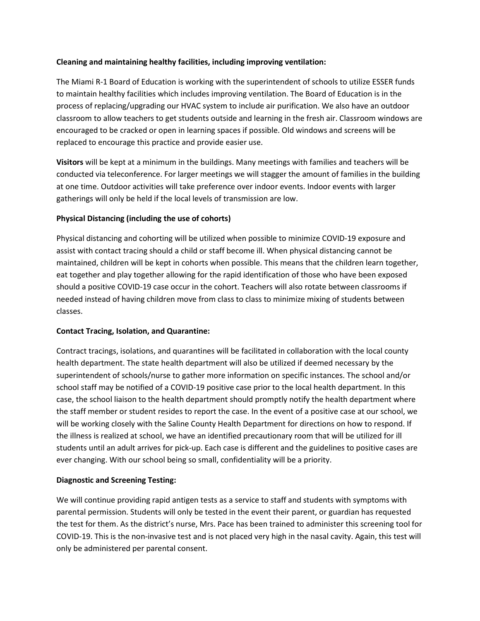### Cleaning and maintaining healthy facilities, including improving ventilation:

The Miami R-1 Board of Education is working with the superintendent of schools to utilize ESSER funds to maintain healthy facilities which includes improving ventilation. The Board of Education is in the process of replacing/upgrading our HVAC system to include air purification. We also have an outdoor classroom to allow teachers to get students outside and learning in the fresh air. Classroom windows are encouraged to be cracked or open in learning spaces if possible. Old windows and screens will be replaced to encourage this practice and provide easier use.

Visitors will be kept at a minimum in the buildings. Many meetings with families and teachers will be conducted via teleconference. For larger meetings we will stagger the amount of families in the building at one time. Outdoor activities will take preference over indoor events. Indoor events with larger gatherings will only be held if the local levels of transmission are low.

# Physical Distancing (including the use of cohorts)

Physical distancing and cohorting will be utilized when possible to minimize COVID-19 exposure and assist with contact tracing should a child or staff become ill. When physical distancing cannot be maintained, children will be kept in cohorts when possible. This means that the children learn together, eat together and play together allowing for the rapid identification of those who have been exposed should a positive COVID-19 case occur in the cohort. Teachers will also rotate between classrooms if needed instead of having children move from class to class to minimize mixing of students between classes.

#### Contact Tracing, Isolation, and Quarantine:

Contract tracings, isolations, and quarantines will be facilitated in collaboration with the local county health department. The state health department will also be utilized if deemed necessary by the superintendent of schools/nurse to gather more information on specific instances. The school and/or school staff may be notified of a COVID-19 positive case prior to the local health department. In this case, the school liaison to the health department should promptly notify the health department where the staff member or student resides to report the case. In the event of a positive case at our school, we will be working closely with the Saline County Health Department for directions on how to respond. If the illness is realized at school, we have an identified precautionary room that will be utilized for ill students until an adult arrives for pick-up. Each case is different and the guidelines to positive cases are ever changing. With our school being so small, confidentiality will be a priority.

#### Diagnostic and Screening Testing:

We will continue providing rapid antigen tests as a service to staff and students with symptoms with parental permission. Students will only be tested in the event their parent, or guardian has requested the test for them. As the district's nurse, Mrs. Pace has been trained to administer this screening tool for COVID-19. This is the non-invasive test and is not placed very high in the nasal cavity. Again, this test will only be administered per parental consent.